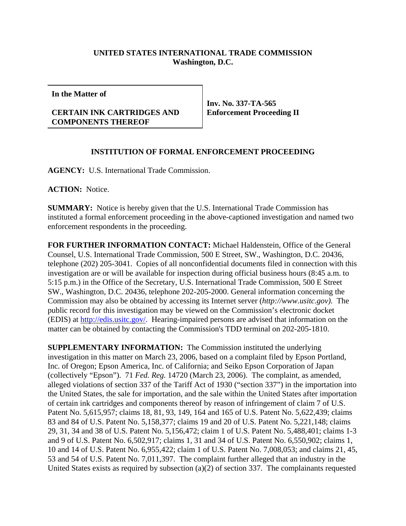## **UNITED STATES INTERNATIONAL TRADE COMMISSION Washington, D.C.**

**In the Matter of**

## **CERTAIN INK CARTRIDGES AND COMPONENTS THEREOF**

**Inv. No. 337-TA-565 Enforcement Proceeding II**

## **INSTITUTION OF FORMAL ENFORCEMENT PROCEEDING**

**AGENCY:** U.S. International Trade Commission.

**ACTION:** Notice.

**SUMMARY:** Notice is hereby given that the U.S. International Trade Commission has instituted a formal enforcement proceeding in the above-captioned investigation and named two enforcement respondents in the proceeding.

**FOR FURTHER INFORMATION CONTACT:** Michael Haldenstein, Office of the General Counsel, U.S. International Trade Commission, 500 E Street, SW., Washington, D.C. 20436, telephone (202) 205-3041. Copies of all nonconfidential documents filed in connection with this investigation are or will be available for inspection during official business hours (8:45 a.m. to 5:15 p.m.) in the Office of the Secretary, U.S. International Trade Commission, 500 E Street SW., Washington, D.C. 20436, telephone 202-205-2000. General information concerning the Commission may also be obtained by accessing its Internet server (*http://www.usitc.gov).* The public record for this investigation may be viewed on the Commission's electronic docket (EDIS) at http://edis.usitc.gov/. Hearing-impaired persons are advised that information on the matter can be obtained by contacting the Commission's TDD terminal on 202-205-1810.

**SUPPLEMENTARY INFORMATION:** The Commission instituted the underlying investigation in this matter on March 23, 2006, based on a complaint filed by Epson Portland, Inc. of Oregon; Epson America, Inc. of California; and Seiko Epson Corporation of Japan (collectively "Epson"). 71 *Fed. Reg.* 14720 (March 23, 2006). The complaint, as amended, alleged violations of section 337 of the Tariff Act of 1930 ("section 337") in the importation into the United States, the sale for importation, and the sale within the United States after importation of certain ink cartridges and components thereof by reason of infringement of claim 7 of U.S. Patent No. 5,615,957; claims 18, 81, 93, 149, 164 and 165 of U.S. Patent No. 5,622,439; claims 83 and 84 of U.S. Patent No. 5,158,377; claims 19 and 20 of U.S. Patent No. 5,221,148; claims 29, 31, 34 and 38 of U.S. Patent No. 5,156,472; claim 1 of U.S. Patent No. 5,488,401; claims 1-3 and 9 of U.S. Patent No. 6,502,917; claims 1, 31 and 34 of U.S. Patent No. 6,550,902; claims 1, 10 and 14 of U.S. Patent No. 6,955,422; claim 1 of U.S. Patent No. 7,008,053; and claims 21, 45, 53 and 54 of U.S. Patent No. 7,011,397. The complaint further alleged that an industry in the United States exists as required by subsection (a)(2) of section 337. The complainants requested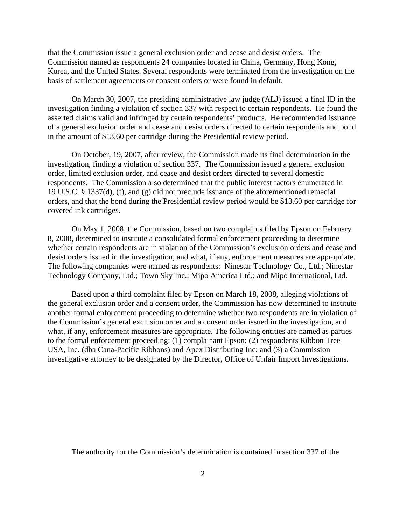that the Commission issue a general exclusion order and cease and desist orders. The Commission named as respondents 24 companies located in China, Germany, Hong Kong, Korea, and the United States. Several respondents were terminated from the investigation on the basis of settlement agreements or consent orders or were found in default.

On March 30, 2007, the presiding administrative law judge (ALJ) issued a final ID in the investigation finding a violation of section 337 with respect to certain respondents. He found the asserted claims valid and infringed by certain respondents' products. He recommended issuance of a general exclusion order and cease and desist orders directed to certain respondents and bond in the amount of \$13.60 per cartridge during the Presidential review period.

On October, 19, 2007, after review, the Commission made its final determination in the investigation, finding a violation of section 337. The Commission issued a general exclusion order, limited exclusion order, and cease and desist orders directed to several domestic respondents. The Commission also determined that the public interest factors enumerated in 19 U.S.C. § 1337(d), (f), and (g) did not preclude issuance of the aforementioned remedial orders, and that the bond during the Presidential review period would be \$13.60 per cartridge for covered ink cartridges.

On May 1, 2008, the Commission, based on two complaints filed by Epson on February 8, 2008, determined to institute a consolidated formal enforcement proceeding to determine whether certain respondents are in violation of the Commission's exclusion orders and cease and desist orders issued in the investigation, and what, if any, enforcement measures are appropriate. The following companies were named as respondents: Ninestar Technology Co., Ltd.; Ninestar Technology Company, Ltd.; Town Sky Inc.; Mipo America Ltd.; and Mipo International, Ltd.

Based upon a third complaint filed by Epson on March 18, 2008, alleging violations of the general exclusion order and a consent order, the Commission has now determined to institute another formal enforcement proceeding to determine whether two respondents are in violation of the Commission's general exclusion order and a consent order issued in the investigation, and what, if any, enforcement measures are appropriate. The following entities are named as parties to the formal enforcement proceeding: (1) complainant Epson; (2) respondents Ribbon Tree USA, Inc. (dba Cana-Pacific Ribbons) and Apex Distributing Inc; and (3) a Commission investigative attorney to be designated by the Director, Office of Unfair Import Investigations.

The authority for the Commission's determination is contained in section 337 of the